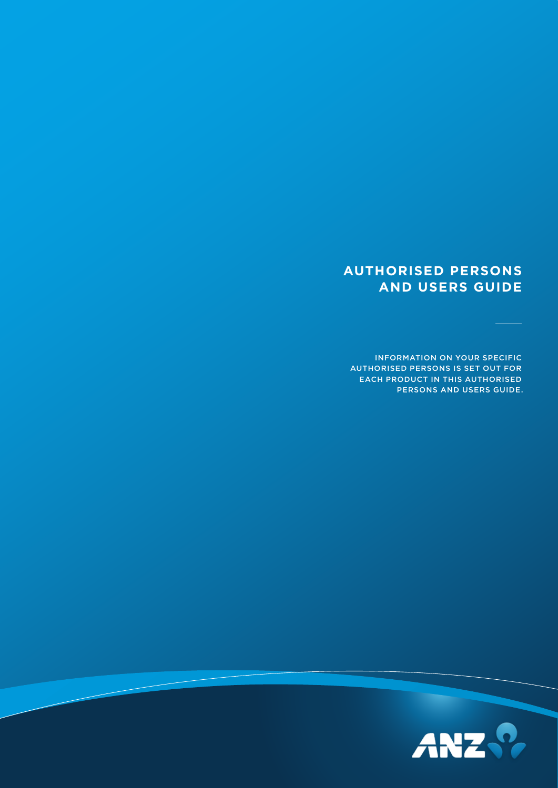# **AUTHORISED PERSONS AND USERS GUIDE**

INFORMATION ON YOUR SPECIFIC AUTHORISED PERSONS IS SET OUT FOR EACH PRODUCT IN THIS AUTHORISED PERSONS AND USERS GUIDE.

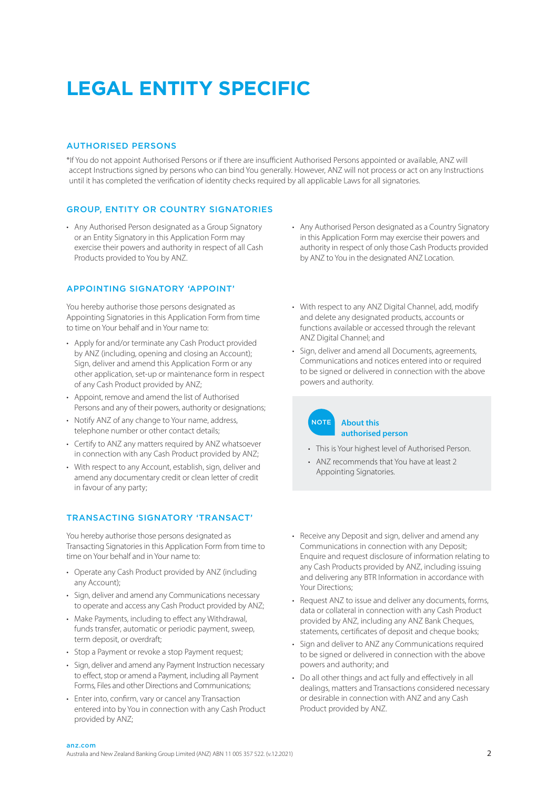# **LEGAL ENTITY SPECIFIC**

## AUTHORISED PERSONS

\*If You do not appoint Authorised Persons or if there are insufficient Authorised Persons appointed or available, ANZ will accept Instructions signed by persons who can bind You generally. However, ANZ will not process or act on any Instructions until it has completed the verification of identity checks required by all applicable Laws for all signatories.

# GROUP, ENTITY OR COUNTRY SIGNATORIES

• Any Authorised Person designated as a Group Signatory or an Entity Signatory in this Application Form may exercise their powers and authority in respect of all Cash Products provided to You by ANZ.

# APPOINTING SIGNATORY 'APPOINT'

You hereby authorise those persons designated as Appointing Signatories in this Application Form from time to time on Your behalf and in Your name to:

- Apply for and/or terminate any Cash Product provided by ANZ (including, opening and closing an Account); Sign, deliver and amend this Application Form or any other application, set-up or maintenance form in respect of any Cash Product provided by ANZ;
- Appoint, remove and amend the list of Authorised Persons and any of their powers, authority or designations;
- Notify ANZ of any change to Your name, address, telephone number or other contact details;
- Certify to ANZ any matters required by ANZ whatsoever in connection with any Cash Product provided by ANZ;
- With respect to any Account, establish, sign, deliver and amend any documentary credit or clean letter of credit in favour of any party;

# TRANSACTING SIGNATORY 'TRANSACT'

You hereby authorise those persons designated as Transacting Signatories in this Application Form from time to time on Your behalf and in Your name to:

- Operate any Cash Product provided by ANZ (including any Account);
- Sign, deliver and amend any Communications necessary to operate and access any Cash Product provided by ANZ;
- Make Payments, including to effect any Withdrawal, funds transfer, automatic or periodic payment, sweep, term deposit, or overdraft;
- Stop a Payment or revoke a stop Payment request;
- Sign, deliver and amend any Payment Instruction necessary to effect, stop or amend a Payment, including all Payment Forms, Files and other Directions and Communications;
- Enter into, confirm, vary or cancel any Transaction entered into by You in connection with any Cash Product provided by ANZ;
- Any Authorised Person designated as a Country Signatory in this Application Form may exercise their powers and authority in respect of only those Cash Products provided by ANZ to You in the designated ANZ Location.
- With respect to any ANZ Digital Channel, add, modify and delete any designated products, accounts or functions available or accessed through the relevant ANZ Digital Channel; and
- Sign, deliver and amend all Documents, agreements, Communications and notices entered into or required to be signed or delivered in connection with the above powers and authority.

# NOTE **About this authorised person**

- This is Your highest level of Authorised Person.
- ANZ recommends that You have at least 2 Appointing Signatories.
- Receive any Deposit and sign, deliver and amend any Communications in connection with any Deposit; Enquire and request disclosure of information relating to any Cash Products provided by ANZ, including issuing and delivering any BTR Information in accordance with Your Directions;
- Request ANZ to issue and deliver any documents, forms, data or collateral in connection with any Cash Product provided by ANZ, including any ANZ Bank Cheques, statements, certificates of deposit and cheque books;
- Sign and deliver to ANZ any Communications required to be signed or delivered in connection with the above powers and authority; and
- Do all other things and act fully and effectively in all dealings, matters and Transactions considered necessary or desirable in connection with ANZ and any Cash Product provided by ANZ.

# **an z.com**<br>Australia and New Zealand Banking Group Limited (ANZ) ABN 11 005 357 522. (v.12.2021)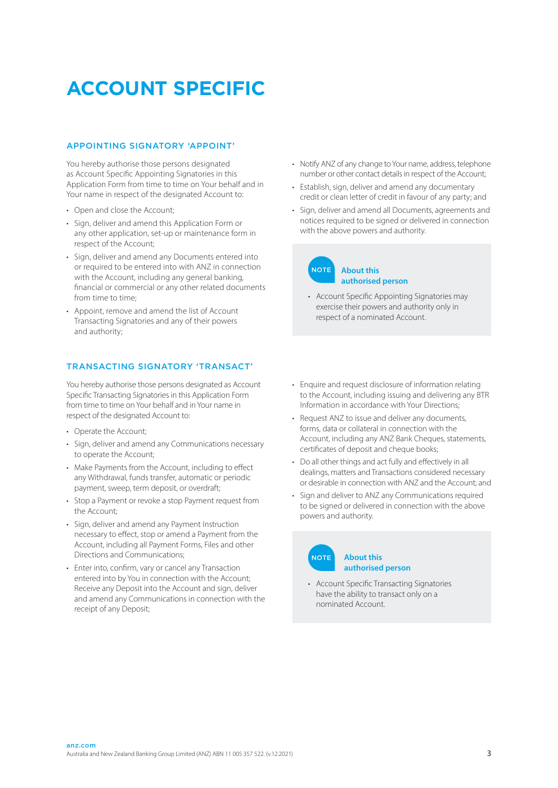# **ACCOUNT SPECIFIC**

## APPOINTING SIGNATORY 'APPOINT'

You hereby authorise those persons designated as Account Specific Appointing Signatories in this Application Form from time to time on Your behalf and in Your name in respect of the designated Account to:

- Open and close the Account;
- Sign, deliver and amend this Application Form or any other application, set-up or maintenance form in respect of the Account;
- Sign, deliver and amend any Documents entered into or required to be entered into with ANZ in connection with the Account, including any general banking, financial or commercial or any other related documents from time to time:
- Appoint, remove and amend the list of Account Transacting Signatories and any of their powers and authority;

# TRANSACTING SIGNATORY 'TRANSACT'

You hereby authorise those persons designated as Account Specific Transacting Signatories in this Application Form from time to time on Your behalf and in Your name in respect of the designated Account to:

- Operate the Account;
- Sign, deliver and amend any Communications necessary to operate the Account;
- Make Payments from the Account, including to effect any Withdrawal, funds transfer, automatic or periodic payment, sweep, term deposit, or overdraft;
- Stop a Payment or revoke a stop Payment request from the Account;
- Sign, deliver and amend any Payment Instruction necessary to effect, stop or amend a Payment from the Account, including all Payment Forms, Files and other Directions and Communications;
- Enter into, confirm, vary or cancel any Transaction entered into by You in connection with the Account; Receive any Deposit into the Account and sign, deliver and amend any Communications in connection with the receipt of any Deposit;
- Notify ANZ of any change to Your name, address, telephone number or other contact details in respect of the Account;
- Establish, sign, deliver and amend any documentary credit or clean letter of credit in favour of any party; and
- Sign, deliver and amend all Documents, agreements and notices required to be signed or delivered in connection with the above powers and authority.

# **About this authorised person NOTE**

- Account Specific Appointing Signatories may exercise their powers and authority only in respect of a nominated Account.
- Enquire and request disclosure of information relating to the Account, including issuing and delivering any BTR Information in accordance with Your Directions;
- Request ANZ to issue and deliver any documents, forms, data or collateral in connection with the Account, including any ANZ Bank Cheques, statements, certificates of deposit and cheque books;
- Do all other things and act fully and effectively in all dealings, matters and Transactions considered necessary or desirable in connection with ANZ and the Account; and
- Sign and deliver to ANZ any Communications required to be signed or delivered in connection with the above powers and authority.

#### **About this authorised person NOTE**

• Account Specific Transacting Signatories have the ability to transact only on a nominated Account.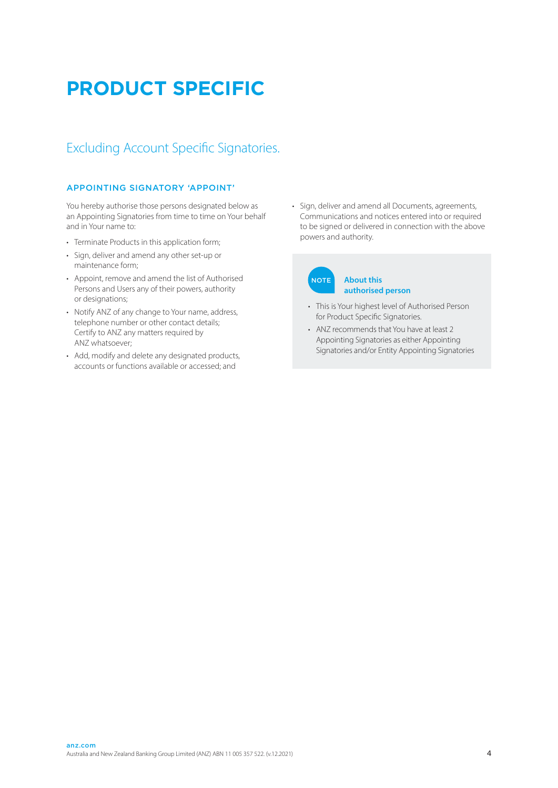# **PRODUCT SPECIFIC**

# Excluding Account Specific Signatories.

# APPOINTING SIGNATORY 'APPOINT'

You hereby authorise those persons designated below as an Appointing Signatories from time to time on Your behalf and in Your name to:

- Terminate Products in this application form;
- Sign, deliver and amend any other set-up or maintenance form;
- Appoint, remove and amend the list of Authorised Persons and Users any of their powers, authority or designations;
- Notify ANZ of any change to Your name, address, telephone number or other contact details; Certify to ANZ any matters required by ANZ whatsoever;
- Add, modify and delete any designated products, accounts or functions available or accessed; and

• Sign, deliver and amend all Documents, agreements, Communications and notices entered into or required to be signed or delivered in connection with the above powers and authority.

#### **About this authorised person NOTE**

- This is Your highest level of Authorised Person for Product Specific Signatories.
- ANZ recommends that You have at least 2 Appointing Signatories as either Appointing Signatories and/or Entity Appointing Signatories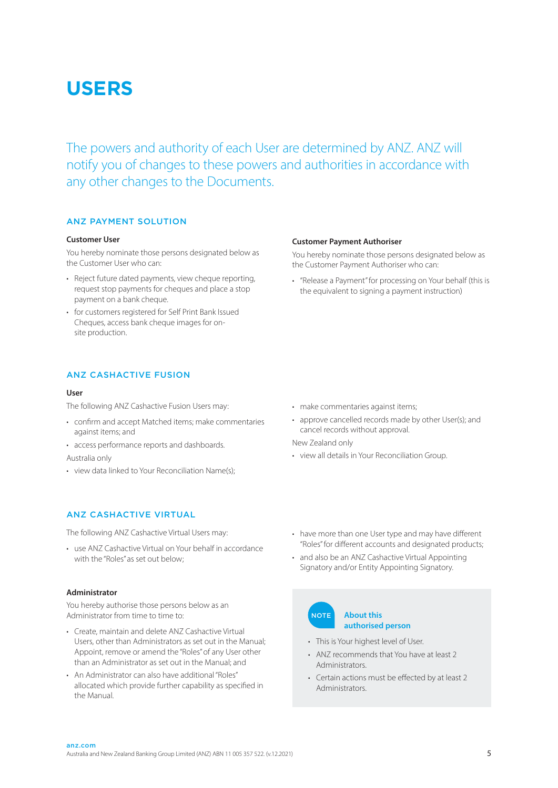# **USERS**

The powers and authority of each User are determined by ANZ. ANZ will notify you of changes to these powers and authorities in accordance with any other changes to the Documents.

# ANZ PAYMENT SOLUTION

## **Customer User**

You hereby nominate those persons designated below as the Customer User who can:

- Reject future dated payments, view cheque reporting, request stop payments for cheques and place a stop payment on a bank cheque.
- for customers registered for Self Print Bank Issued Cheques, access bank cheque images for onsite production.

# ANZ CASHACTIVE FUSION

## **User**

The following ANZ Cashactive Fusion Users may:

- confirm and accept Matched items; make commentaries against items; and
- access performance reports and dashboards.
- Australia only
- view data linked to Your Reconciliation Name(s);

# ANZ CASHACTIVE VIRTUAL

The following ANZ Cashactive Virtual Users may:

• use ANZ Cashactive Virtual on Your behalf in accordance with the "Roles" as set out below;

## **Administrator**

You hereby authorise those persons below as an Administrator from time to time to:

- Create, maintain and delete ANZ Cashactive Virtual Users, other than Administrators as set out in the Manual; Appoint, remove or amend the "Roles" of any User other than an Administrator as set out in the Manual; and
- An Administrator can also have additional "Roles" allocated which provide further capability as specified in the Manual.

### **Customer Payment Authoriser**

You hereby nominate those persons designated below as the Customer Payment Authoriser who can:

• "Release a Payment" for processing on Your behalf (this is the equivalent to signing a payment instruction)

- make commentaries against items;
- approve cancelled records made by other User(s); and cancel records without approval.
- New Zealand only
- view all details in Your Reconciliation Group.
- have more than one User type and may have different "Roles" for different accounts and designated products;
- and also be an ANZ Cashactive Virtual Appointing Signatory and/or Entity Appointing Signatory.

#### **About this authorised person NOTE**

- This is Your highest level of User.
- ANZ recommends that You have at least 2 Administrators.
- Certain actions must be effected by at least 2 Administrators.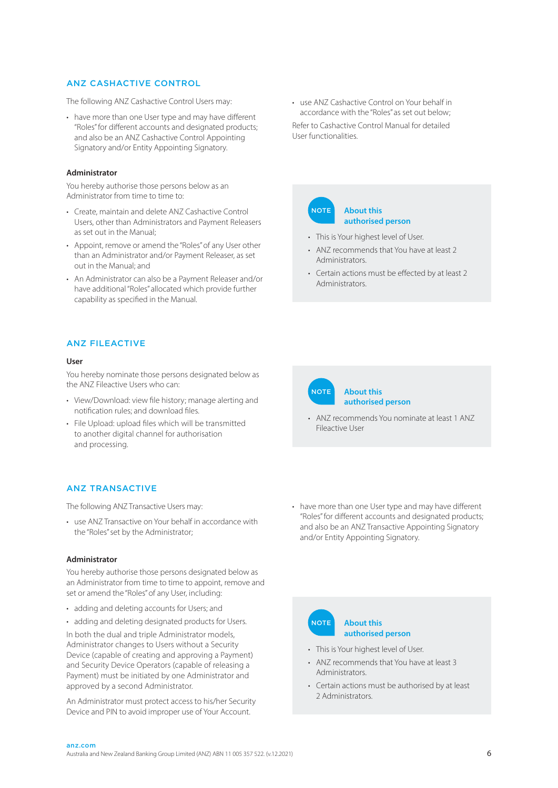# ANZ CASHACTIVE CONTROL

The following ANZ Cashactive Control Users may:

• have more than one User type and may have different "Roles" for different accounts and designated products; and also be an ANZ Cashactive Control Appointing Signatory and/or Entity Appointing Signatory.

#### **Administrator**

You hereby authorise those persons below as an Administrator from time to time to:

- Create, maintain and delete ANZ Cashactive Control Users, other than Administrators and Payment Releasers as set out in the Manual;
- Appoint, remove or amend the "Roles" of any User other than an Administrator and/or Payment Releaser, as set out in the Manual; and
- An Administrator can also be a Payment Releaser and/or have additional "Roles" allocated which provide further capability as specified in the Manual.

# ANZ FILEACTIVE

#### **User**

You hereby nominate those persons designated below as the ANZ Fileactive Users who can:

- View/Download: view file history; manage alerting and notification rules; and download files.
- File Upload: upload files which will be transmitted to another digital channel for authorisation and processing.

# ANZ TRANSACTIVE

The following ANZ Transactive Users may:

• use ANZ Transactive on Your behalf in accordance with the "Roles" set by the Administrator;

#### **Administrator**

You hereby authorise those persons designated below as an Administrator from time to time to appoint, remove and set or amend the "Roles" of any User, including:

- adding and deleting accounts for Users; and
- adding and deleting designated products for Users.

In both the dual and triple Administrator models, Administrator changes to Users without a Security Device (capable of creating and approving a Payment) and Security Device Operators (capable of releasing a Payment) must be initiated by one Administrator and approved by a second Administrator.

An Administrator must protect access to his/her Security Device and PIN to avoid improper use of Your Account.

• use ANZ Cashactive Control on Your behalf in accordance with the "Roles" as set out below; Refer to Cashactive Control Manual for detailed User functionalities.



- This is Your highest level of User.
- ANZ recommends that You have at least 2 **Administrators**
- Certain actions must be effected by at least 2 Administrators.



#### **About this authorised person**

- ANZ recommends You nominate at least 1 ANZ Fileactive User
- have more than one User type and may have different "Roles" for different accounts and designated products; and also be an ANZ Transactive Appointing Signatory and/or Entity Appointing Signatory.

#### **About this authorised person NOTE**

- This is Your highest level of User.
- ANZ recommends that You have at least 3 Administrators.
- Certain actions must be authorised by at least 2 Administrators.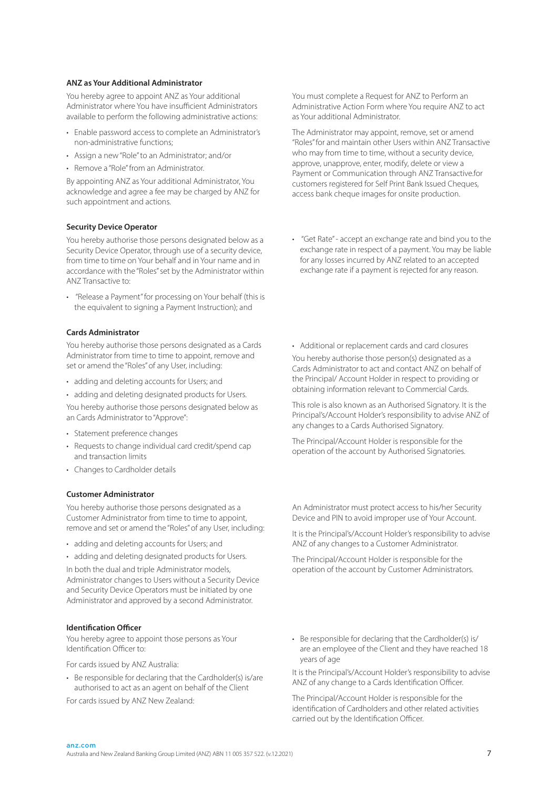### **ANZ as Your Additional Administrator**

You hereby agree to appoint ANZ as Your additional Administrator where You have insufficient Administrators available to perform the following administrative actions:

- Enable password access to complete an Administrator's non-administrative functions;
- Assign a new "Role" to an Administrator; and/or
- Remove a "Role" from an Administrator.

By appointing ANZ as Your additional Administrator, You acknowledge and agree a fee may be charged by ANZ for such appointment and actions.

## **Security Device Operator**

You hereby authorise those persons designated below as a Security Device Operator, through use of a security device, from time to time on Your behalf and in Your name and in accordance with the "Roles" set by the Administrator within ANZ Transactive to:

• "Release a Payment" for processing on Your behalf (this is the equivalent to signing a Payment Instruction); and

### **Cards Administrator**

You hereby authorise those persons designated as a Cards Administrator from time to time to appoint, remove and set or amend the "Roles" of any User, including:

- adding and deleting accounts for Users; and
- adding and deleting designated products for Users.

You hereby authorise those persons designated below as an Cards Administrator to "Approve":

- Statement preference changes
- Requests to change individual card credit/spend cap and transaction limits
- Changes to Cardholder details

#### **Customer Administrator**

You hereby authorise those persons designated as a Customer Administrator from time to time to appoint, remove and set or amend the "Roles" of any User, including:

- adding and deleting accounts for Users; and
- adding and deleting designated products for Users.

In both the dual and triple Administrator models, Administrator changes to Users without a Security Device and Security Device Operators must be initiated by one Administrator and approved by a second Administrator.

#### **Identification Officer**

You hereby agree to appoint those persons as Your Identification Officer to:

For cards issued by ANZ Australia:

• Be responsible for declaring that the Cardholder(s) is/are authorised to act as an agent on behalf of the Client

For cards issued by ANZ New Zealand:

You must complete a Request for ANZ to Perform an Administrative Action Form where You require ANZ to act as Your additional Administrator.

The Administrator may appoint, remove, set or amend "Roles" for and maintain other Users within ANZ Transactive who may from time to time, without a security device, approve, unapprove, enter, modify, delete or view a Payment or Communication through ANZ Transactive.for customers registered for Self Print Bank Issued Cheques, access bank cheque images for onsite production.

• "Get Rate" - accept an exchange rate and bind you to the exchange rate in respect of a payment. You may be liable for any losses incurred by ANZ related to an accepted exchange rate if a payment is rejected for any reason.

• Additional or replacement cards and card closures

You hereby authorise those person(s) designated as a Cards Administrator to act and contact ANZ on behalf of the Principal/ Account Holder in respect to providing or obtaining information relevant to Commercial Cards.

This role is also known as an Authorised Signatory. It is the Principal's/Account Holder's responsibility to advise ANZ of any changes to a Cards Authorised Signatory.

The Principal/Account Holder is responsible for the operation of the account by Authorised Signatories.

An Administrator must protect access to his/her Security Device and PIN to avoid improper use of Your Account.

It is the Principal's/Account Holder's responsibility to advise ANZ of any changes to a Customer Administrator.

The Principal/Account Holder is responsible for the operation of the account by Customer Administrators.

• Be responsible for declaring that the Cardholder(s) is/ are an employee of the Client and they have reached 18 years of age

It is the Principal's/Account Holder's responsibility to advise ANZ of any change to a Cards Identification Officer.

The Principal/Account Holder is responsible for the identification of Cardholders and other related activities carried out by the Identification Officer.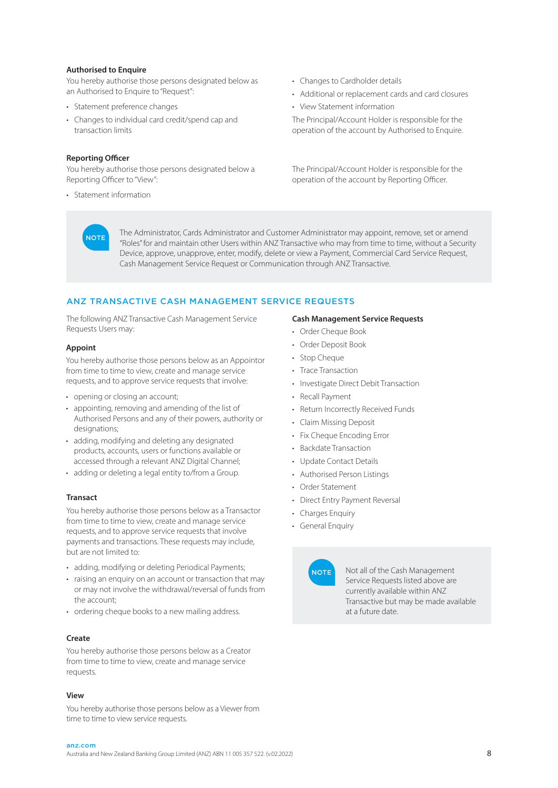#### **Authorised to Enquire**

You hereby authorise those persons designated below as an Authorised to Enquire to "Request":

- Statement preference changes
- Changes to individual card credit/spend cap and transaction limits

#### **Reporting Officer**

**NOTE** 

You hereby authorise those persons designated below a Reporting Officer to "View":

• Statement information

- Changes to Cardholder details
- Additional or replacement cards and card closures
- View Statement information

The Principal/Account Holder is responsible for the operation of the account by Authorised to Enquire.

The Principal/Account Holder is responsible for the operation of the account by Reporting Officer.

The Administrator, Cards Administrator and Customer Administrator may appoint, remove, set or amend "Roles" for and maintain other Users within ANZ Transactive who may from time to time, without a Security Device, approve, unapprove, enter, modify, delete or view a Payment, Commercial Card Service Request, Cash Management Service Request or Communication through ANZ Transactive.

# ANZ TRANSACTIVE CASH MANAGEMENT SERVICE REQUESTS

The following ANZ Transactive Cash Management Service Requests Users may:

#### **Appoint**

You hereby authorise those persons below as an Appointor from time to time to view, create and manage service requests, and to approve service requests that involve:

- opening or closing an account;
- appointing, removing and amending of the list of Authorised Persons and any of their powers, authority or designations:
- adding, modifying and deleting any designated products, accounts, users or functions available or accessed through a relevant ANZ Digital Channel;
- adding or deleting a legal entity to/from a Group.

#### **Transact**

You hereby authorise those persons below as a Transactor from time to time to view, create and manage service requests, and to approve service requests that involve payments and transactions. These requests may include, but are not limited to:

- adding, modifying or deleting Periodical Payments;
- raising an enquiry on an account or transaction that may or may not involve the withdrawal/reversal of funds from the account;
- ordering cheque books to a new mailing address.

#### **Create**

You hereby authorise those persons below as a Creator from time to time to view, create and manage service requests.

#### **View**

You hereby authorise those persons below as a Viewer from time to time to view service requests.

#### **Cash Management Service Requests**

- Order Cheque Book
- Order Deposit Book
- Stop Cheque
- Trace Transaction
- Investigate Direct Debit Transaction
- Recall Payment
- Return Incorrectly Received Funds
- Claim Missing Deposit
- Fix Cheque Encoding Error
- Backdate Transaction
- Update Contact Details
- Authorised Person Listings
- Order Statement
- Direct Entry Payment Reversal
- Charges Enquiry
- General Enquiry



Not all of the Cash Management Service Requests listed above are currently available within ANZ Transactive but may be made available at a future date.